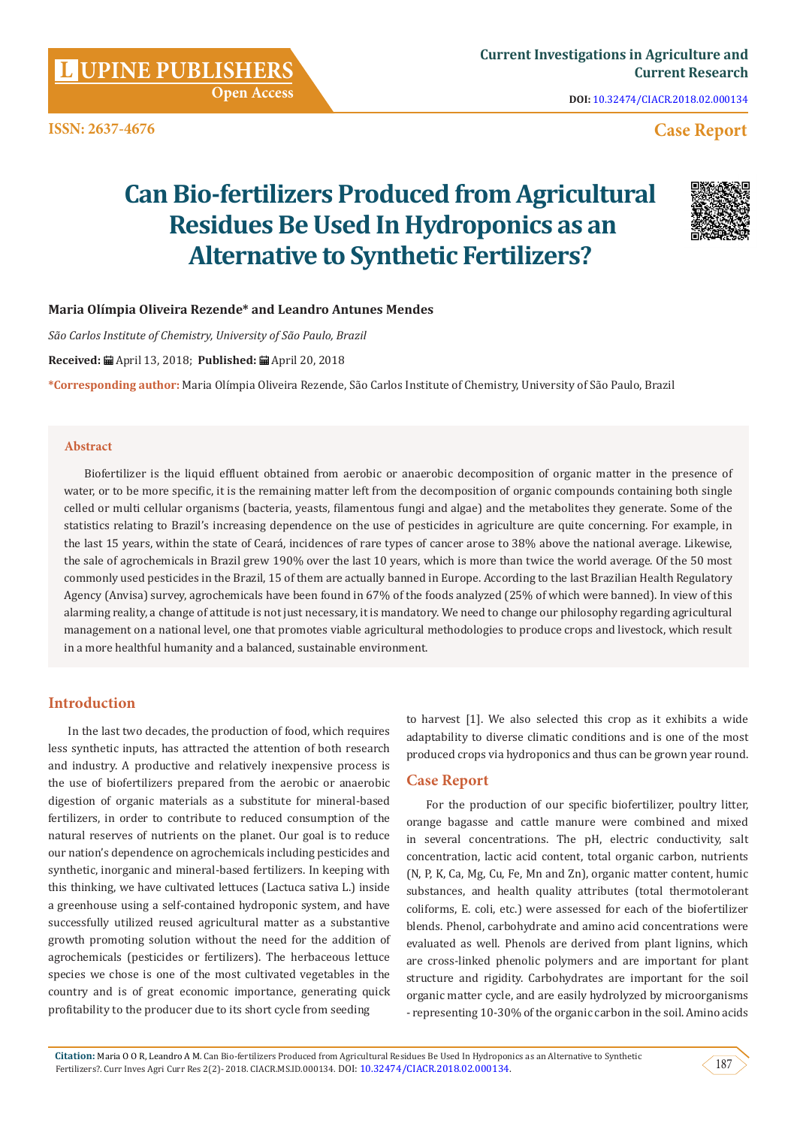**ISSN: 2637-4676**

**DOI:** [10.32474/CIACR.2018.02.000134](http://dx.doi.org/10.32474/CIACR.2018.02.000134)

# **Case Report**

# **Can Bio-fertilizers Produced from Agricultural Residues Be Used In Hydroponics as an Alternative to Synthetic Fertilizers?**



# **Maria Olímpia Oliveira Rezende\* and Leandro Antunes Mendes**

 **Open Access**

*São Carlos Institute of Chemistry, University of São Paulo, Brazil*

**Received:** April 13, 2018; **Published:** April 20, 2018

**\*Corresponding author:** Maria Olímpia Oliveira Rezende, São Carlos Institute of Chemistry, University of São Paulo, Brazil

### **Abstract**

Biofertilizer is the liquid effluent obtained from aerobic or anaerobic decomposition of organic matter in the presence of water, or to be more specific, it is the remaining matter left from the decomposition of organic compounds containing both single celled or multi cellular organisms (bacteria, yeasts, filamentous fungi and algae) and the metabolites they generate. Some of the statistics relating to Brazil's increasing dependence on the use of pesticides in agriculture are quite concerning. For example, in the last 15 years, within the state of Ceará, incidences of rare types of cancer arose to 38% above the national average. Likewise, the sale of agrochemicals in Brazil grew 190% over the last 10 years, which is more than twice the world average. Of the 50 most commonly used pesticides in the Brazil, 15 of them are actually banned in Europe. According to the last Brazilian Health Regulatory Agency (Anvisa) survey, agrochemicals have been found in 67% of the foods analyzed (25% of which were banned). In view of this alarming reality, a change of attitude is not just necessary, it is mandatory. We need to change our philosophy regarding agricultural management on a national level, one that promotes viable agricultural methodologies to produce crops and livestock, which result in a more healthful humanity and a balanced, sustainable environment.

# **Introduction**

In the last two decades, the production of food, which requires less synthetic inputs, has attracted the attention of both research and industry. A productive and relatively inexpensive process is the use of biofertilizers prepared from the aerobic or anaerobic digestion of organic materials as a substitute for mineral-based fertilizers, in order to contribute to reduced consumption of the natural reserves of nutrients on the planet. Our goal is to reduce our nation's dependence on agrochemicals including pesticides and synthetic, inorganic and mineral-based fertilizers. In keeping with this thinking, we have cultivated lettuces (Lactuca sativa L.) inside a greenhouse using a self-contained hydroponic system, and have successfully utilized reused agricultural matter as a substantive growth promoting solution without the need for the addition of agrochemicals (pesticides or fertilizers). The herbaceous lettuce species we chose is one of the most cultivated vegetables in the country and is of great economic importance, generating quick profitability to the producer due to its short cycle from seeding

to harvest [1]. We also selected this crop as it exhibits a wide adaptability to diverse climatic conditions and is one of the most produced crops via hydroponics and thus can be grown year round.

# **Case Report**

For the production of our specific biofertilizer, poultry litter, orange bagasse and cattle manure were combined and mixed in several concentrations. The pH, electric conductivity, salt concentration, lactic acid content, total organic carbon, nutrients (N, P, K, Ca, Mg, Cu, Fe, Mn and Zn), organic matter content, humic substances, and health quality attributes (total thermotolerant coliforms, E. coli, etc.) were assessed for each of the biofertilizer blends. Phenol, carbohydrate and amino acid concentrations were evaluated as well. Phenols are derived from plant lignins, which are cross-linked phenolic polymers and are important for plant structure and rigidity. Carbohydrates are important for the soil organic matter cycle, and are easily hydrolyzed by microorganisms - representing 10-30% of the organic carbon in the soil. Amino acids